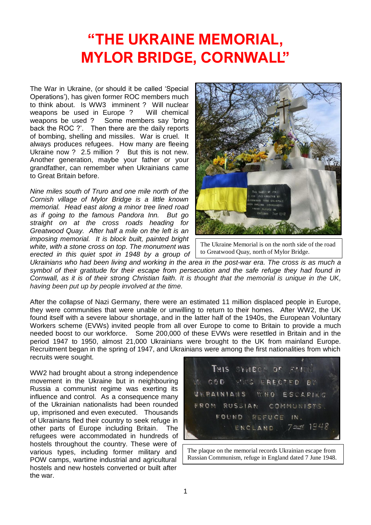## **"THE UKRAINE MEMORIAL, MYLOR BRIDGE, CORNWALL"**

The War in Ukraine, (or should it be called 'Special Operations'), has given former ROC members much to think about. Is WW3 imminent ? Will nuclear<br>weapons be used in Europe ? Will chemical weapons be used in Europe ?<br>weapons be used ? Some me Some members say 'bring' back the ROC ?'. Then there are the daily reports of bombing, shelling and missiles. War is cruel. It always produces refugees. How many are fleeing Ukraine now ? 2.5 million ? But this is not new. Another generation, maybe your father or your grandfather, can remember when Ukrainians came to Great Britain before.

*Nine miles south of Truro and one mile north of the Cornish village of Mylor Bridge is a little known memorial. Head east along a minor tree lined road as if going to the famous Pandora Inn. But go straight on at the cross roads heading for Greatwood Quay. After half a mile on the left is an imposing memorial. It is block built, painted bright white, with a stone cross on top. The monument was erected in this quiet spot in 1948 by a group of* 



The Ukraine Memorial is on the north side of the road to Greatwood Quay, north of Mylor Bridge.

*Ukrainians who had been living and working in the area in the post-war era. The cross is as much a symbol of their gratitude for their escape from persecution and the safe refuge they had found in Cornwall, as it is of their strong Christian faith. It is thought that the memorial is unique in the UK, having been put up by people involved at the time.*

After the collapse of Nazi Germany, there were an estimated 11 million displaced people in Europe, they were communities that were unable or unwilling to return to their homes. After WW2, the UK found itself with a severe labour shortage, and in the latter half of the 1940s, the European Voluntary Workers scheme (EVWs) invited people from all over Europe to come to Britain to provide a much needed boost to our workforce. Some 200,000 of these EVWs were resettled in Britain and in the period 1947 to 1950, almost 21,000 Ukrainians were brought to the UK from mainland Europe. Recruitment began in the spring of 1947, and Ukrainians were among the first nationalities from which recruits were sought.

WW2 had brought about a strong independence movement in the Ukraine but in neighbouring Russia a communist regime was exerting its influence and control. As a consequence many of the Ukrainian nationalists had been rounded up, imprisoned and even executed. Thousands of Ukrainians fled their country to seek refuge in other parts of Europe including Britain. The refugees were accommodated in hundreds of hostels throughout the country. These were of various types, including former military and POW camps, wartime industrial and agricultural hostels and new hostels converted or built after the war.

THIS SYMBOL OF WAS ERECTED BY  $C O D$ UKRAINIANS WHO ESCAPING FROM RUSSIAN COMMUNISTS FOUND REFUCE  $IN.$  $72046$  1948 ENCLAND

The plaque on the memorial records Ukrainian escape from Russian Communism, refuge in England dated 7 June 1948.